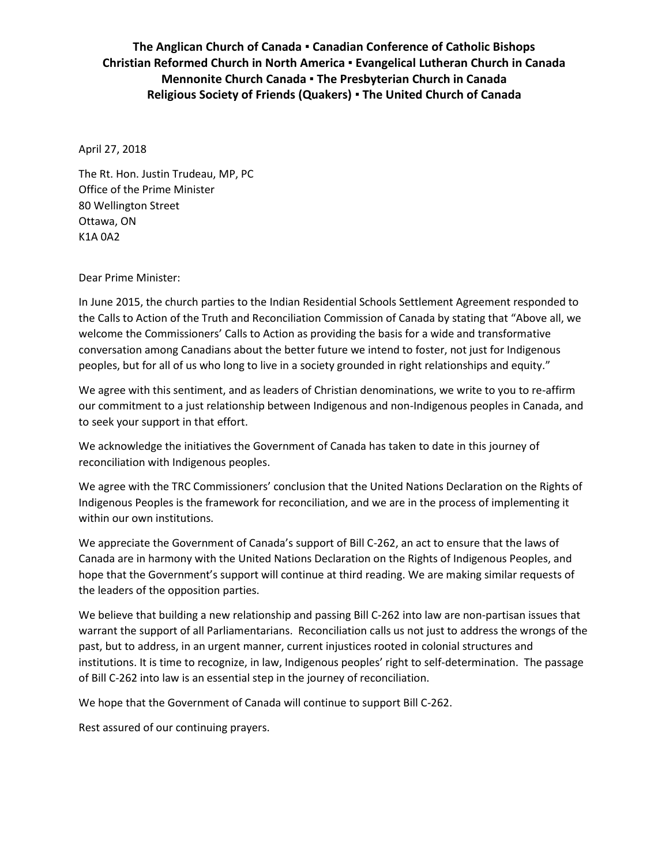## **The Anglican Church of Canada ▪ Canadian Conference of Catholic Bishops Christian Reformed Church in North America ▪ Evangelical Lutheran Church in Canada Mennonite Church Canada ▪ The Presbyterian Church in Canada Religious Society of Friends (Quakers) ▪ The United Church of Canada**

April 27, 2018

The Rt. Hon. Justin Trudeau, MP, PC Office of the Prime Minister 80 Wellington Street Ottawa, ON K1A 0A2

Dear Prime Minister:

In June 2015, the church parties to the Indian Residential Schools Settlement Agreement responded to the Calls to Action of the Truth and Reconciliation Commission of Canada by stating that "Above all, we welcome the Commissioners' Calls to Action as providing the basis for a wide and transformative conversation among Canadians about the better future we intend to foster, not just for Indigenous peoples, but for all of us who long to live in a society grounded in right relationships and equity."

We agree with this sentiment, and as leaders of Christian denominations, we write to you to re-affirm our commitment to a just relationship between Indigenous and non-Indigenous peoples in Canada, and to seek your support in that effort.

We acknowledge the initiatives the Government of Canada has taken to date in this journey of reconciliation with Indigenous peoples.

We agree with the TRC Commissioners' conclusion that the United Nations Declaration on the Rights of Indigenous Peoples is the framework for reconciliation, and we are in the process of implementing it within our own institutions.

We appreciate the Government of Canada's support of Bill C-262, an act to ensure that the laws of Canada are in harmony with the United Nations Declaration on the Rights of Indigenous Peoples, and hope that the Government's support will continue at third reading. We are making similar requests of the leaders of the opposition parties.

We believe that building a new relationship and passing Bill C-262 into law are non-partisan issues that warrant the support of all Parliamentarians. Reconciliation calls us not just to address the wrongs of the past, but to address, in an urgent manner, current injustices rooted in colonial structures and institutions. It is time to recognize, in law, Indigenous peoples' right to self-determination. The passage of Bill C-262 into law is an essential step in the journey of reconciliation.

We hope that the Government of Canada will continue to support Bill C-262.

Rest assured of our continuing prayers.